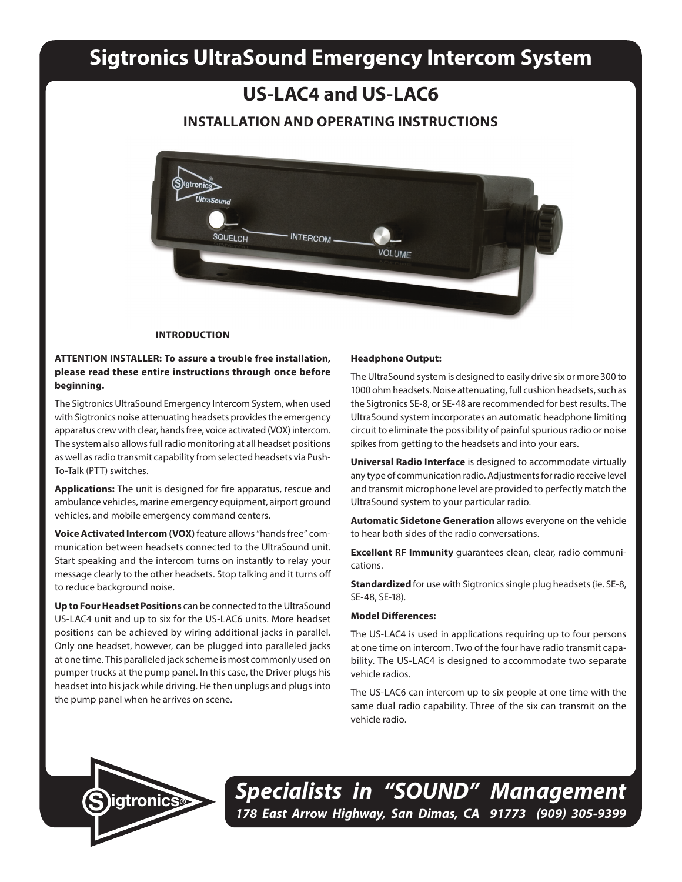# **Sigtronics UltraSound Emergency Intercom System**

## **US-LAC4 and US-LAC6**

## **INSTALLATION AND OPERATING INSTRUCTIONS**



#### **INTRODUCTION**

## **ATTENTION INSTALLER: To assure a trouble free installation, please read these entire instructions through once before beginning.**

The Sigtronics UltraSound Emergency Intercom System, when used with Sigtronics noise attenuating headsets provides the emergency apparatus crew with clear, hands free, voice activated (VOX) intercom. The system also allows full radio monitoring at all headset positions as well as radio transmit capability from selected headsets via Push-To-Talk (PTT) switches.

**Applications:** The unit is designed for fire apparatus, rescue and ambulance vehicles, marine emergency equipment, airport ground vehicles, and mobile emergency command centers.

**Voice Activated Intercom (VOX)** feature allows "hands free" communication between headsets connected to the UltraSound unit. Start speaking and the intercom turns on instantly to relay your message clearly to the other headsets. Stop talking and it turns off to reduce background noise.

**Up to Four Headset Positions** can be connected to the UltraSound US-LAC4 unit and up to six for the US-LAC6 units. More headset positions can be achieved by wiring additional jacks in parallel. Only one headset, however, can be plugged into paralleled jacks at one time. This paralleled jack scheme is most commonly used on pumper trucks at the pump panel. In this case, the Driver plugs his headset into his jack while driving. He then unplugs and plugs into the pump panel when he arrives on scene.

#### **Headphone Output:**

The UltraSound system is designed to easily drive six or more 300 to 1000 ohm headsets. Noise attenuating, full cushion headsets, such as the Sigtronics SE-8, or SE-48 are recommended for best results. The UltraSound system incorporates an automatic headphone limiting circuit to eliminate the possibility of painful spurious radio or noise spikes from getting to the headsets and into your ears.

**Universal Radio Interface** is designed to accommodate virtually any type of communication radio. Adjustments for radio receive level and transmit microphone level are provided to perfectly match the UltraSound system to your particular radio.

**Automatic Sidetone Generation** allows everyone on the vehicle to hear both sides of the radio conversations.

**Excellent RF Immunity** guarantees clean, clear, radio communications.

**Standardized** for use with Sigtronics single plug headsets (ie. SE-8, SE-48, SE-18).

## **Model Differences:**

The US-LAC4 is used in applications requiring up to four persons at one time on intercom. Two of the four have radio transmit capability. The US-LAC4 is designed to accommodate two separate vehicle radios.

The US-LAC6 can intercom up to six people at one time with the same dual radio capability. Three of the six can transmit on the vehicle radio.



*Specialists in "SOUND" Management 178 East Arrow Highway, San Dimas, CA 91773 (909) 305-9399* **S igtronics®**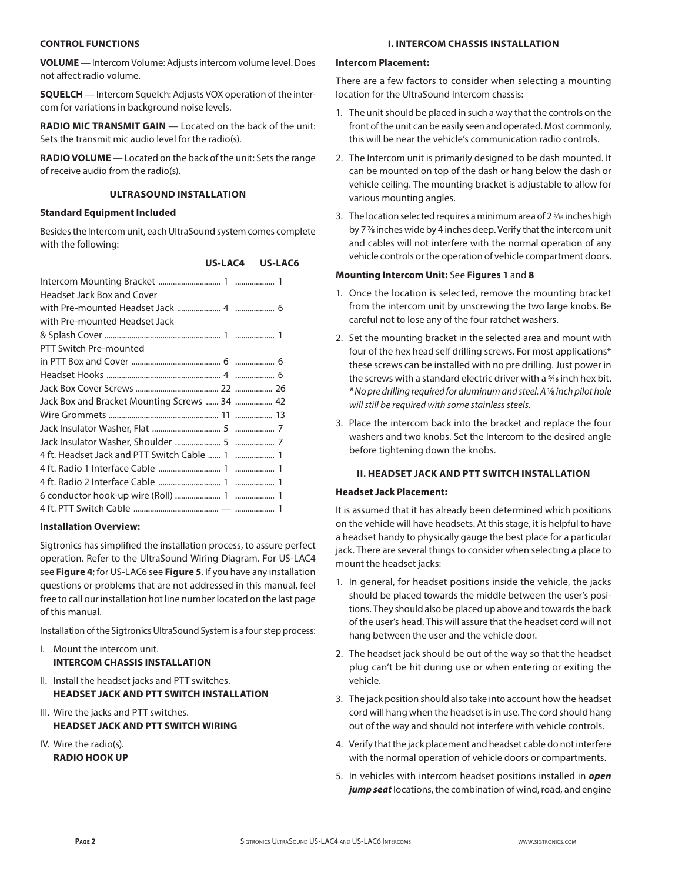## **CONTROL FUNCTIONS**

**VOLUME** — Intercom Volume: Adjusts intercom volume level. Does not affect radio volume.

**SQUELCH** — Intercom Squelch: Adjusts VOX operation of the intercom for variations in background noise levels.

**RADIO MIC TRANSMIT GAIN** — Located on the back of the unit: Sets the transmit mic audio level for the radio(s).

**RADIO VOLUME** — Located on the back of the unit: Sets the range of receive audio from the radio(s).

## **ULTRASOUND INSTALLATION**

## **Standard Equipment Included**

Besides the Intercom unit, each UltraSound system comes complete with the following:

| US-LAC6<br>US-LAC4 |  |
|--------------------|--|
|--------------------|--|

| Headset Jack Box and Cover                    |  |
|-----------------------------------------------|--|
|                                               |  |
| with Pre-mounted Headset Jack                 |  |
|                                               |  |
| PTT Switch Pre-mounted                        |  |
|                                               |  |
|                                               |  |
|                                               |  |
| Jack Box and Bracket Mounting Screws  34  42  |  |
|                                               |  |
|                                               |  |
|                                               |  |
| 4 ft. Headset Jack and PTT Switch Cable  1  1 |  |
|                                               |  |
|                                               |  |
|                                               |  |
|                                               |  |

## **Installation Overview:**

Sigtronics has simplified the installation process, to assure perfect operation. Refer to the UltraSound Wiring Diagram. For US-LAC4 see **Figure 4**; for US-LAC6 see **Figure 5**. If you have any installation questions or problems that are not addressed in this manual, feel free to call our installation hot line number located on the last page of this manual.

Installation of the Sigtronics UltraSound System is a four step process:

- I. Mount the intercom unit. **INTERCOM CHASSIS INSTALLATION**
- II. Install the headset jacks and PTT switches. **HEADSET JACK AND PTT SWITCH INSTALLATION**
- III. Wire the jacks and PTT switches. **HEADSET JACK AND PTT SWITCH WIRING**
- IV. Wire the radio(s). **RADIO HOOK UP**

## **I. INTERCOM CHASSIS INSTALLATION**

## **Intercom Placement:**

There are a few factors to consider when selecting a mounting location for the UltraSound Intercom chassis:

- 1. The unit should be placed in such a way that the controls on the front of the unit can be easily seen and operated. Most commonly, this will be near the vehicle's communication radio controls.
- 2. The Intercom unit is primarily designed to be dash mounted. It can be mounted on top of the dash or hang below the dash or vehicle ceiling. The mounting bracket is adjustable to allow for various mounting angles.
- 3. The location selected requires a minimum area of 2<sup>5</sup>/16 inches high by 7 7⁄8 inches wide by 4 inches deep. Verify that the intercom unit and cables will not interfere with the normal operation of any vehicle controls or the operation of vehicle compartment doors.

## **Mounting Intercom Unit:** See **Figures 1** and **8**

- 1. Once the location is selected, remove the mounting bracket from the intercom unit by unscrewing the two large knobs. Be careful not to lose any of the four ratchet washers.
- 2. Set the mounting bracket in the selected area and mount with four of the hex head self drilling screws. For most applications\* these screws can be installed with no pre drilling. Just power in the screws with a standard electric driver with a 5/16 inch hex bit. *\* No pre drilling required for aluminum and steel. A* 1⁄8 *inch pilot hole will still be required with some stainless steels.*
- 3. Place the intercom back into the bracket and replace the four washers and two knobs. Set the Intercom to the desired angle before tightening down the knobs.

## **II. HEADSET JACK AND PTT SWITCH INSTALLATION**

## **Headset Jack Placement:**

It is assumed that it has already been determined which positions on the vehicle will have headsets. At this stage, it is helpful to have a headset handy to physically gauge the best place for a particular jack. There are several things to consider when selecting a place to mount the headset jacks:

- 1. In general, for headset positions inside the vehicle, the jacks should be placed towards the middle between the user's positions. They should also be placed up above and towards the back of the user's head. This will assure that the headset cord will not hang between the user and the vehicle door.
- 2. The headset jack should be out of the way so that the headset plug can't be hit during use or when entering or exiting the vehicle.
- 3. The jack position should also take into account how the headset cord will hang when the headset is in use. The cord should hang out of the way and should not interfere with vehicle controls.
- 4. Verify that the jack placement and headset cable do not interfere with the normal operation of vehicle doors or compartments.
- 5. In vehicles with intercom headset positions installed in *open jump seat* locations, the combination of wind, road, and engine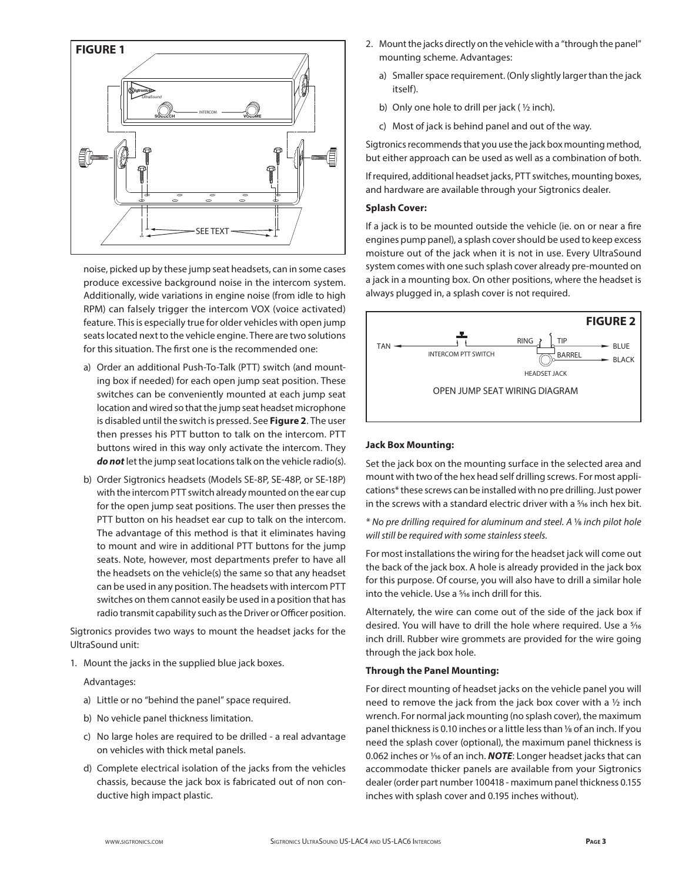

noise, picked up by these jump seat headsets, can in some cases produce excessive background noise in the intercom system. Additionally, wide variations in engine noise (from idle to high RPM) can falsely trigger the intercom VOX (voice activated) feature. This is especially true for older vehicles with open jump seats located next to the vehicle engine. There are two solutions for this situation. The first one is the recommended one:

- a) Order an additional Push-To-Talk (PTT) switch (and mounting box if needed) for each open jump seat position. These switches can be conveniently mounted at each jump seat location and wired so that the jump seat headset microphone is disabled until the switch is pressed. See **Figure 2**. The user then presses his PTT button to talk on the intercom. PTT buttons wired in this way only activate the intercom. They *do not* let the jump seat locations talk on the vehicle radio(s).
- b) Order Sigtronics headsets (Models SE-8P, SE-48P, or SE-18P) with the intercom PTT switch already mounted on the ear cup for the open jump seat positions. The user then presses the PTT button on his headset ear cup to talk on the intercom. The advantage of this method is that it eliminates having to mount and wire in additional PTT buttons for the jump seats. Note, however, most departments prefer to have all the headsets on the vehicle(s) the same so that any headset can be used in any position. The headsets with intercom PTT switches on them cannot easily be used in a position that has radio transmit capability such as the Driver or Officer position.

Sigtronics provides two ways to mount the headset jacks for the UltraSound unit:

1. Mount the jacks in the supplied blue jack boxes.

#### Advantages:

- a) Little or no "behind the panel" space required.
- b) No vehicle panel thickness limitation.
- c) No large holes are required to be drilled a real advantage on vehicles with thick metal panels.
- d) Complete electrical isolation of the jacks from the vehicles chassis, because the jack box is fabricated out of non conductive high impact plastic.
- 2. Mount the jacks directly on the vehicle with a "through the panel" mounting scheme. Advantages:
	- a) Smaller space requirement. (Only slightly larger than the jack itself).
	- b) Only one hole to drill per jack ( $\frac{1}{2}$  inch).
	- c) Most of jack is behind panel and out of the way.

Sigtronics recommends that you use the jack box mounting method, but either approach can be used as well as a combination of both.

If required, additional headset jacks, PTT switches, mounting boxes, and hardware are available through your Sigtronics dealer.

## **Splash Cover:**

If a jack is to be mounted outside the vehicle (ie. on or near a fire engines pump panel), a splash cover should be used to keep excess moisture out of the jack when it is not in use. Every UltraSound system comes with one such splash cover already pre-mounted on a jack in a mounting box. On other positions, where the headset is always plugged in, a splash cover is not required.



## **Jack Box Mounting:**

Set the jack box on the mounting surface in the selected area and mount with two of the hex head self drilling screws. For most applications\* these screws can be installed with no pre drilling. Just power in the screws with a standard electric driver with a <sup>5</sup>/16 inch hex bit.

*\* No pre drilling required for aluminum and steel. A* 1⁄8 *inch pilot hole will still be required with some stainless steels.*

For most installations the wiring for the headset jack will come out the back of the jack box. A hole is already provided in the jack box for this purpose. Of course, you will also have to drill a similar hole into the vehicle. Use a 5/16 inch drill for this.

Alternately, the wire can come out of the side of the jack box if desired. You will have to drill the hole where required. Use a 5⁄16 inch drill. Rubber wire grommets are provided for the wire going through the jack box hole.

## **Through the Panel Mounting:**

For direct mounting of headset jacks on the vehicle panel you will need to remove the jack from the jack box cover with a ½ inch wrench. For normal jack mounting (no splash cover), the maximum panel thickness is 0.10 inches or a little less than 1/8 of an inch. If you need the splash cover (optional), the maximum panel thickness is 0.062 inches or  $\frac{1}{16}$  of an inch. **NOTE**: Longer headset jacks that can accommodate thicker panels are available from your Sigtronics dealer (order part number 100418 - maximum panel thickness 0.155 inches with splash cover and 0.195 inches without).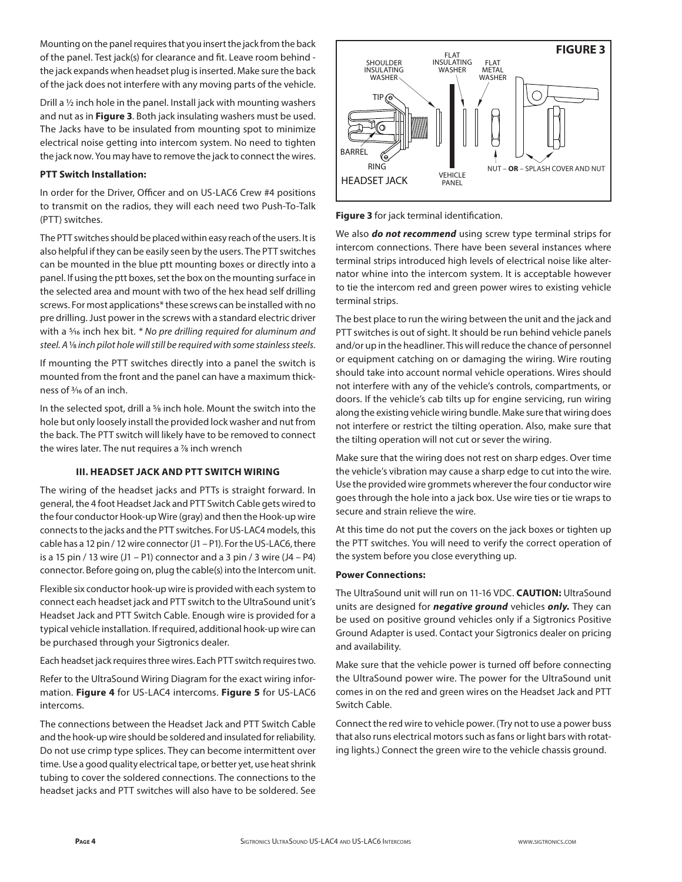Mounting on the panel requires that you insert the jack from the back of the panel. Test jack(s) for clearance and fit. Leave room behind the jack expands when headset plug is inserted. Make sure the back of the jack does not interfere with any moving parts of the vehicle.

Drill a ½ inch hole in the panel. Install jack with mounting washers and nut as in **Figure 3**. Both jack insulating washers must be used. The Jacks have to be insulated from mounting spot to minimize electrical noise getting into intercom system. No need to tighten the jack now. You may have to remove the jack to connect the wires.

## **PTT Switch Installation:**

In order for the Driver, Officer and on US-LAC6 Crew #4 positions to transmit on the radios, they will each need two Push-To-Talk (PTT) switches.

The PTT switches should be placed within easy reach of the users. It is also helpful if they can be easily seen by the users. The PTT switches can be mounted in the blue ptt mounting boxes or directly into a panel. If using the ptt boxes, set the box on the mounting surface in the selected area and mount with two of the hex head self drilling screws. For most applications\* these screws can be installed with no pre drilling. Just power in the screws with a standard electric driver with a 5⁄16 inch hex bit. *\* No pre drilling required for aluminum and steel. A* 1⁄8 *inch pilot hole will still be required with some stainless steels.*

If mounting the PTT switches directly into a panel the switch is mounted from the front and the panel can have a maximum thickness of 3⁄16 of an inch.

In the selected spot, drill a <sup>5</sup>% inch hole. Mount the switch into the hole but only loosely install the provided lock washer and nut from the back. The PTT switch will likely have to be removed to connect the wires later. The nut requires a 1/8 inch wrench

## **III. HEADSET JACK AND PTT SWITCH WIRING**

The wiring of the headset jacks and PTTs is straight forward. In general, the 4 foot Headset Jack and PTT Switch Cable gets wired to the four conductor Hook-up Wire (gray) and then the Hook-up wire connects to the jacks and the PTT switches. For US-LAC4 models, this cable has a 12 pin / 12 wire connector (J1 – P1). For the US-LAC6, there is a 15 pin / 13 wire (J1 – P1) connector and a 3 pin / 3 wire (J4 – P4) connector. Before going on, plug the cable(s) into the Intercom unit.

Flexible six conductor hook-up wire is provided with each system to connect each headset jack and PTT switch to the UltraSound unit's Headset Jack and PTT Switch Cable. Enough wire is provided for a typical vehicle installation. If required, additional hook-up wire can be purchased through your Sigtronics dealer.

Each headset jack requires three wires. Each PTT switch requires two.

Refer to the UltraSound Wiring Diagram for the exact wiring information. **Figure 4** for US-LAC4 intercoms. **Figure 5** for US-LAC6 intercoms.

The connections between the Headset Jack and PTT Switch Cable and the hook-up wire should be soldered and insulated for reliability. Do not use crimp type splices. They can become intermittent over time. Use a good quality electrical tape, or better yet, use heat shrink tubing to cover the soldered connections. The connections to the headset jacks and PTT switches will also have to be soldered. See



**Figure 3** for jack terminal identification.

We also *do not recommend* using screw type terminal strips for intercom connections. There have been several instances where terminal strips introduced high levels of electrical noise like alternator whine into the intercom system. It is acceptable however to tie the intercom red and green power wires to existing vehicle terminal strips.

The best place to run the wiring between the unit and the jack and PTT switches is out of sight. It should be run behind vehicle panels and/or up in the headliner. This will reduce the chance of personnel or equipment catching on or damaging the wiring. Wire routing should take into account normal vehicle operations. Wires should not interfere with any of the vehicle's controls, compartments, or doors. If the vehicle's cab tilts up for engine servicing, run wiring along the existing vehicle wiring bundle. Make sure that wiring does not interfere or restrict the tilting operation. Also, make sure that the tilting operation will not cut or sever the wiring.

Make sure that the wiring does not rest on sharp edges. Over time the vehicle's vibration may cause a sharp edge to cut into the wire. Use the provided wire grommets wherever the four conductor wire goes through the hole into a jack box. Use wire ties or tie wraps to secure and strain relieve the wire.

At this time do not put the covers on the jack boxes or tighten up the PTT switches. You will need to verify the correct operation of the system before you close everything up.

## **Power Connections:**

The UltraSound unit will run on 11-16 VDC. **CAUTION:** UltraSound units are designed for *negative ground* vehicles *only.* They can be used on positive ground vehicles only if a Sigtronics Positive Ground Adapter is used. Contact your Sigtronics dealer on pricing and availability.

Make sure that the vehicle power is turned off before connecting the UltraSound power wire. The power for the UltraSound unit comes in on the red and green wires on the Headset Jack and PTT Switch Cable.

Connect the red wire to vehicle power. (Try not to use a power buss that also runs electrical motors such as fans or light bars with rotating lights.) Connect the green wire to the vehicle chassis ground.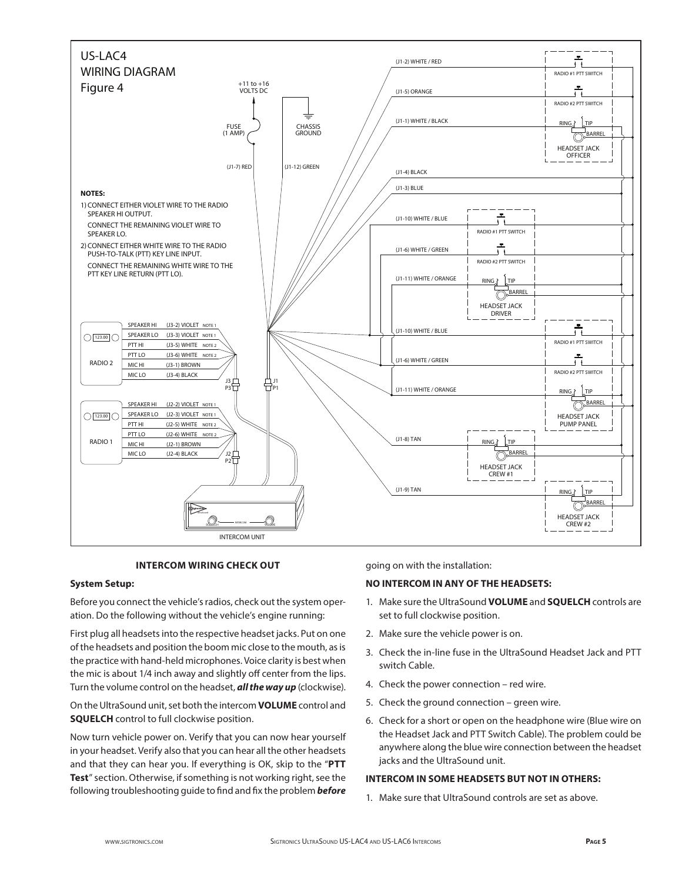

## **INTERCOM WIRING CHECK OUT**

## **System Setup:**

Before you connect the vehicle's radios, check out the system operation. Do the following without the vehicle's engine running:

First plug all headsets into the respective headset jacks. Put on one of the headsets and position the boom mic close to the mouth, as is the practice with hand-held microphones. Voice clarity is best when the mic is about 1/4 inch away and slightly off center from the lips. Turn the volume control on the headset, *all the way up* (clockwise).

On the UltraSound unit, set both the intercom **VOLUME** control and **SQUELCH** control to full clockwise position.

Now turn vehicle power on. Verify that you can now hear yourself in your headset. Verify also that you can hear all the other headsets and that they can hear you. If everything is OK, skip to the "**PTT Test**" section. Otherwise, if something is not working right, see the following troubleshooting guide to find and fix the problem *before* going on with the installation:

## **NO INTERCOM IN ANY OF THE HEADSETS:**

- 1. Make sure the UltraSound **VOLUME** and **SQUELCH** controls are set to full clockwise position.
- 2. Make sure the vehicle power is on.
- 3. Check the in-line fuse in the UltraSound Headset Jack and PTT switch Cable.
- 4. Check the power connection red wire.
- 5. Check the ground connection green wire.
- 6. Check for a short or open on the headphone wire (Blue wire on the Headset Jack and PTT Switch Cable). The problem could be anywhere along the blue wire connection between the headset jacks and the UltraSound unit.

## **INTERCOM IN SOME HEADSETS BUT NOT IN OTHERS:**

1. Make sure that UltraSound controls are set as above.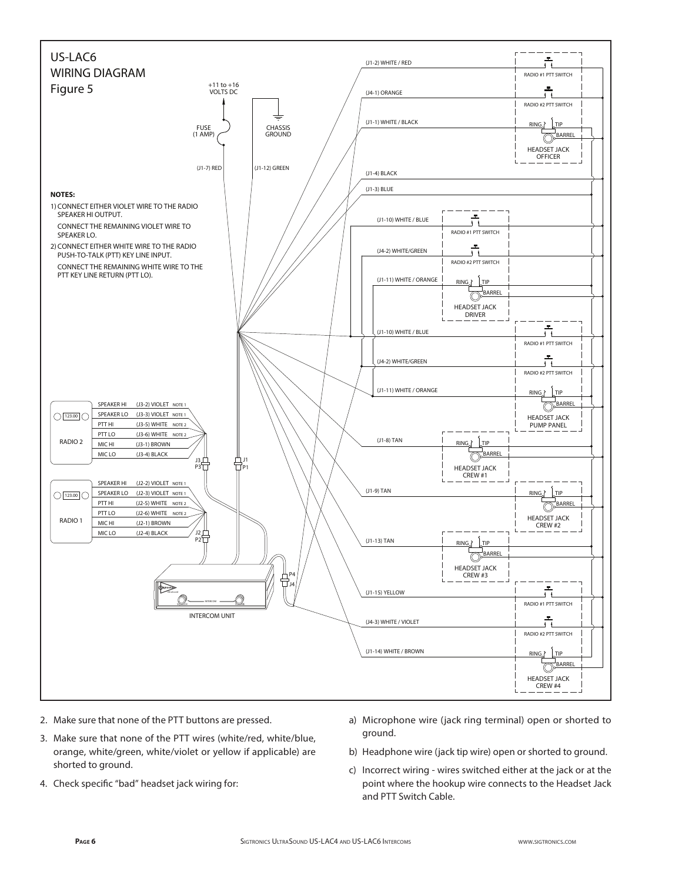

- 2. Make sure that none of the PTT buttons are pressed.
- 3. Make sure that none of the PTT wires (white/red, white/blue, orange, white/green, white/violet or yellow if applicable) are shorted to ground.
- 4. Check specific "bad" headset jack wiring for:
- a) Microphone wire (jack ring terminal) open or shorted to ground.
- b) Headphone wire (jack tip wire) open or shorted to ground.
- c) Incorrect wiring wires switched either at the jack or at the point where the hookup wire connects to the Headset Jack and PTT Switch Cable.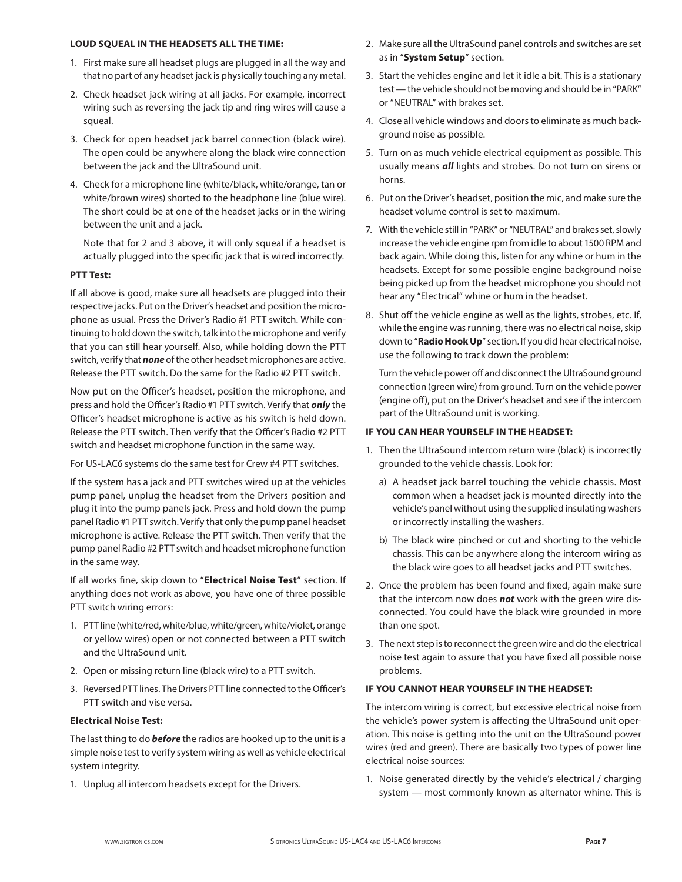#### **LOUD SQUEAL IN THE HEADSETS ALL THE TIME:**

- 1. First make sure all headset plugs are plugged in all the way and that no part of any headset jack is physically touching any metal.
- 2. Check headset jack wiring at all jacks. For example, incorrect wiring such as reversing the jack tip and ring wires will cause a squeal.
- 3. Check for open headset jack barrel connection (black wire). The open could be anywhere along the black wire connection between the jack and the UltraSound unit.
- 4. Check for a microphone line (white/black, white/orange, tan or white/brown wires) shorted to the headphone line (blue wire). The short could be at one of the headset jacks or in the wiring between the unit and a jack.

 Note that for 2 and 3 above, it will only squeal if a headset is actually plugged into the specific jack that is wired incorrectly.

## **PTT Test:**

If all above is good, make sure all headsets are plugged into their respective jacks. Put on the Driver's headset and position the microphone as usual. Press the Driver's Radio #1 PTT switch. While continuing to hold down the switch, talk into the microphone and verify that you can still hear yourself. Also, while holding down the PTT switch, verify that *none* of the other headset microphones are active. Release the PTT switch. Do the same for the Radio #2 PTT switch.

Now put on the Officer's headset, position the microphone, and press and hold the Officer's Radio #1 PTT switch. Verify that *only* the Officer's headset microphone is active as his switch is held down. Release the PTT switch. Then verify that the Officer's Radio #2 PTT switch and headset microphone function in the same way.

For US-LAC6 systems do the same test for Crew #4 PTT switches.

If the system has a jack and PTT switches wired up at the vehicles pump panel, unplug the headset from the Drivers position and plug it into the pump panels jack. Press and hold down the pump panel Radio #1 PTT switch. Verify that only the pump panel headset microphone is active. Release the PTT switch. Then verify that the pump panel Radio #2 PTT switch and headset microphone function in the same way.

If all works fine, skip down to "**Electrical Noise Test**" section. If anything does not work as above, you have one of three possible PTT switch wiring errors:

- 1. PTT line (white/red, white/blue, white/green, white/violet, orange or yellow wires) open or not connected between a PTT switch and the UltraSound unit.
- 2. Open or missing return line (black wire) to a PTT switch.
- 3. Reversed PTT lines. The Drivers PTT line connected to the Officer's PTT switch and vise versa.

## **Electrical Noise Test:**

The last thing to do *before* the radios are hooked up to the unit is a simple noise test to verify system wiring as well as vehicle electrical system integrity.

1. Unplug all intercom headsets except for the Drivers.

- 2. Make sure all the UltraSound panel controls and switches are set as in "**System Setup**" section.
- 3. Start the vehicles engine and let it idle a bit. This is a stationary test — the vehicle should not be moving and should be in "PARK" or "NEUTRAL" with brakes set.
- 4. Close all vehicle windows and doors to eliminate as much background noise as possible.
- 5. Turn on as much vehicle electrical equipment as possible. This usually means *all* lights and strobes. Do not turn on sirens or horns.
- 6. Put on the Driver's headset, position the mic, and make sure the headset volume control is set to maximum.
- 7. With the vehicle still in "PARK" or "NEUTRAL" and brakes set, slowly increase the vehicle engine rpm from idle to about 1500 RPM and back again. While doing this, listen for any whine or hum in the headsets. Except for some possible engine background noise being picked up from the headset microphone you should not hear any "Electrical" whine or hum in the headset.
- 8. Shut off the vehicle engine as well as the lights, strobes, etc. If, while the engine was running, there was no electrical noise, skip down to "**Radio Hook Up**" section. If you did hear electrical noise, use the following to track down the problem:

 Turn the vehicle power off and disconnect the UltraSound ground connection (green wire) from ground. Turn on the vehicle power (engine off), put on the Driver's headset and see if the intercom part of the UltraSound unit is working.

## **IF YOU CAN HEAR YOURSELF IN THE HEADSET:**

- 1. Then the UltraSound intercom return wire (black) is incorrectly grounded to the vehicle chassis. Look for:
	- a) A headset jack barrel touching the vehicle chassis. Most common when a headset jack is mounted directly into the vehicle's panel without using the supplied insulating washers or incorrectly installing the washers.
	- b) The black wire pinched or cut and shorting to the vehicle chassis. This can be anywhere along the intercom wiring as the black wire goes to all headset jacks and PTT switches.
- 2. Once the problem has been found and fixed, again make sure that the intercom now does *not* work with the green wire disconnected. You could have the black wire grounded in more than one spot.
- 3. The next step is to reconnect the green wire and do the electrical noise test again to assure that you have fixed all possible noise problems.

## **IF YOU CANNOT HEAR YOURSELF IN THE HEADSET:**

The intercom wiring is correct, but excessive electrical noise from the vehicle's power system is affecting the UltraSound unit operation. This noise is getting into the unit on the UltraSound power wires (red and green). There are basically two types of power line electrical noise sources:

1. Noise generated directly by the vehicle's electrical / charging system — most commonly known as alternator whine. This is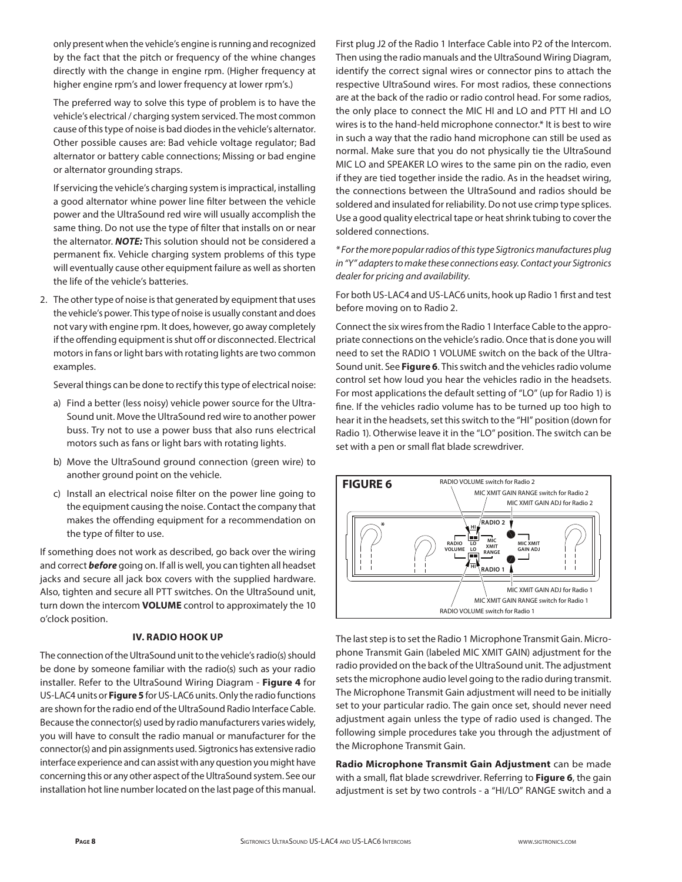only present when the vehicle's engine is running and recognized by the fact that the pitch or frequency of the whine changes directly with the change in engine rpm. (Higher frequency at higher engine rpm's and lower frequency at lower rpm's.)

 The preferred way to solve this type of problem is to have the vehicle's electrical / charging system serviced. The most common cause of this type of noise is bad diodes in the vehicle's alternator. Other possible causes are: Bad vehicle voltage regulator; Bad alternator or battery cable connections; Missing or bad engine or alternator grounding straps.

 If servicing the vehicle's charging system is impractical, installing a good alternator whine power line filter between the vehicle power and the UltraSound red wire will usually accomplish the same thing. Do not use the type of filter that installs on or near the alternator. *NOTE:* This solution should not be considered a permanent fix. Vehicle charging system problems of this type will eventually cause other equipment failure as well as shorten the life of the vehicle's batteries.

2. The other type of noise is that generated by equipment that uses the vehicle's power. This type of noise is usually constant and does not vary with engine rpm. It does, however, go away completely if the offending equipment is shut off or disconnected. Electrical motors in fans or light bars with rotating lights are two common examples.

Several things can be done to rectify this type of electrical noise:

- a) Find a better (less noisy) vehicle power source for the Ultra-Sound unit. Move the UltraSound red wire to another power buss. Try not to use a power buss that also runs electrical motors such as fans or light bars with rotating lights.
- b) Move the UltraSound ground connection (green wire) to another ground point on the vehicle.
- c) Install an electrical noise filter on the power line going to the equipment causing the noise. Contact the company that makes the offending equipment for a recommendation on the type of filter to use.

If something does not work as described, go back over the wiring and correct *before* going on. If all is well, you can tighten all headset jacks and secure all jack box covers with the supplied hardware. Also, tighten and secure all PTT switches. On the UltraSound unit, turn down the intercom **VOLUME** control to approximately the 10 o'clock position.

#### **IV. RADIO HOOK UP**

The connection of the UltraSound unit to the vehicle's radio(s) should be done by someone familiar with the radio(s) such as your radio installer. Refer to the UltraSound Wiring Diagram - **Figure 4** for US-LAC4 units or **Figure 5** for US-LAC6 units. Only the radio functions are shown for the radio end of the UltraSound Radio Interface Cable. Because the connector(s) used by radio manufacturers varies widely, you will have to consult the radio manual or manufacturer for the connector(s) and pin assignments used. Sigtronics has extensive radio interface experience and can assist with any question you might have concerning this or any other aspect of the UltraSound system. See our installation hot line number located on the last page of this manual. First plug J2 of the Radio 1 Interface Cable into P2 of the Intercom. Then using the radio manuals and the UltraSound Wiring Diagram, identify the correct signal wires or connector pins to attach the respective UltraSound wires. For most radios, these connections are at the back of the radio or radio control head. For some radios, the only place to connect the MIC HI and LO and PTT HI and LO wires is to the hand-held microphone connector.\* It is best to wire in such a way that the radio hand microphone can still be used as normal. Make sure that you do not physically tie the UltraSound MIC LO and SPEAKER LO wires to the same pin on the radio, even if they are tied together inside the radio. As in the headset wiring, the connections between the UltraSound and radios should be soldered and insulated for reliability. Do not use crimp type splices. Use a good quality electrical tape or heat shrink tubing to cover the soldered connections.

*\* For the more popular radios of this type Sigtronics manufactures plug in "Y" adapters to make these connections easy. Contact your Sigtronics dealer for pricing and availability.*

For both US-LAC4 and US-LAC6 units, hook up Radio 1 first and test before moving on to Radio 2.

Connect the six wires from the Radio 1 Interface Cable to the appropriate connections on the vehicle's radio. Once that is done you will need to set the RADIO 1 VOLUME switch on the back of the Ultra-Sound unit. See **Figure 6**. This switch and the vehicles radio volume control set how loud you hear the vehicles radio in the headsets. For most applications the default setting of "LO" (up for Radio 1) is fine. If the vehicles radio volume has to be turned up too high to hear it in the headsets, set this switch to the "HI" position (down for Radio 1). Otherwise leave it in the "LO" position. The switch can be set with a pen or small flat blade screwdriver.



The last step is to set the Radio 1 Microphone Transmit Gain. Microphone Transmit Gain (labeled MIC XMIT GAIN) adjustment for the radio provided on the back of the UltraSound unit. The adjustment sets the microphone audio level going to the radio during transmit. The Microphone Transmit Gain adjustment will need to be initially set to your particular radio. The gain once set, should never need adjustment again unless the type of radio used is changed. The following simple procedures take you through the adjustment of the Microphone Transmit Gain.

**Radio Microphone Transmit Gain Adjustment** can be made with a small, flat blade screwdriver. Referring to **Figure 6**, the gain adjustment is set by two controls - a "HI/LO" RANGE switch and a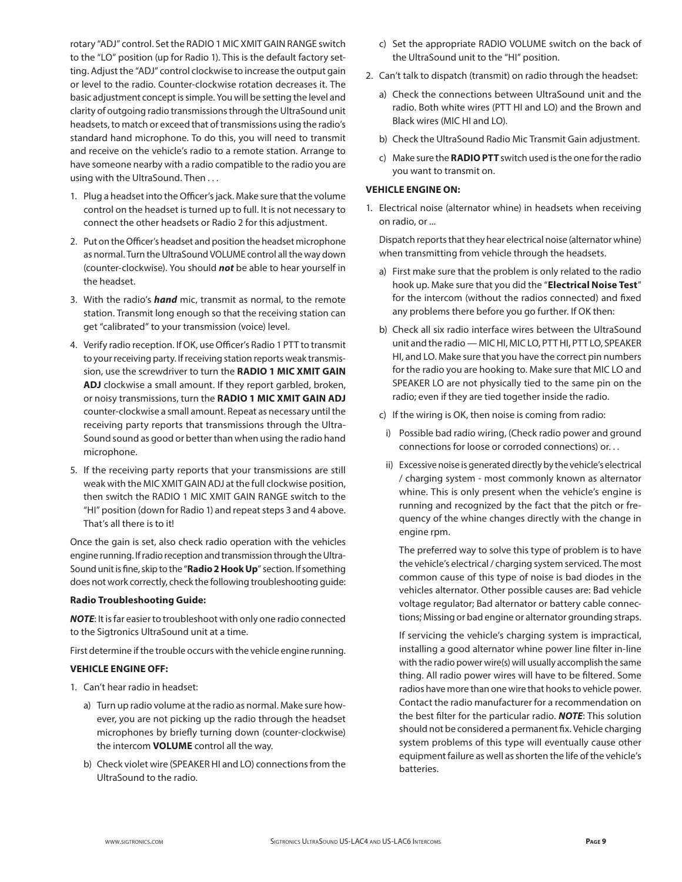rotary "ADJ" control. Set the RADIO 1 MIC XMIT GAIN RANGE switch to the "LO" position (up for Radio 1). This is the default factory setting. Adjust the "ADJ" control clockwise to increase the output gain or level to the radio. Counter-clockwise rotation decreases it. The basic adjustment concept is simple. You will be setting the level and clarity of outgoing radio transmissions through the UltraSound unit headsets, to match or exceed that of transmissions using the radio's standard hand microphone. To do this, you will need to transmit and receive on the vehicle's radio to a remote station. Arrange to have someone nearby with a radio compatible to the radio you are using with the UltraSound. Then . . .

- 1. Plug a headset into the Officer's jack. Make sure that the volume control on the headset is turned up to full. It is not necessary to connect the other headsets or Radio 2 for this adjustment.
- 2. Put on the Officer's headset and position the headset microphone as normal. Turn the UltraSound VOLUME control all the way down (counter-clockwise). You should *not* be able to hear yourself in the headset.
- 3. With the radio's *hand* mic, transmit as normal, to the remote station. Transmit long enough so that the receiving station can get "calibrated" to your transmission (voice) level.
- 4. Verify radio reception. If OK, use Officer's Radio 1 PTT to transmit to your receiving party. If receiving station reports weak transmission, use the screwdriver to turn the **RADIO 1 MIC XMIT GAIN ADJ** clockwise a small amount. If they report garbled, broken, or noisy transmissions, turn the **RADIO 1 MIC XMIT GAIN ADJ** counter-clockwise a small amount. Repeat as necessary until the receiving party reports that transmissions through the Ultra-Sound sound as good or better than when using the radio hand microphone.
- 5. If the receiving party reports that your transmissions are still weak with the MIC XMIT GAIN ADJ at the full clockwise position, then switch the RADIO 1 MIC XMIT GAIN RANGE switch to the "HI" position (down for Radio 1) and repeat steps 3 and 4 above. That's all there is to it!

Once the gain is set, also check radio operation with the vehicles engine running. If radio reception and transmission through the Ultra-Sound unit is fine, skip to the "**Radio 2 Hook Up**" section. If something does not work correctly, check the following troubleshooting guide:

### **Radio Troubleshooting Guide:**

*NOTE*: It is far easier to troubleshoot with only one radio connected to the Sigtronics UltraSound unit at a time.

First determine if the trouble occurs with the vehicle engine running.

## **VEHICLE ENGINE OFF:**

- 1. Can't hear radio in headset:
	- a) Turn up radio volume at the radio as normal. Make sure however, you are not picking up the radio through the headset microphones by briefly turning down (counter-clockwise) the intercom **VOLUME** control all the way.
	- b) Check violet wire (SPEAKER HI and LO) connections from the UltraSound to the radio.
- c) Set the appropriate RADIO VOLUME switch on the back of the UltraSound unit to the "HI" position.
- 2. Can't talk to dispatch (transmit) on radio through the headset:
	- a) Check the connections between UltraSound unit and the radio. Both white wires (PTT HI and LO) and the Brown and Black wires (MIC HI and LO).
	- b) Check the UltraSound Radio Mic Transmit Gain adjustment.
	- c) Make sure the **RADIO PTT** switch used is the one for the radio you want to transmit on.

## **VEHICLE ENGINE ON:**

1. Electrical noise (alternator whine) in headsets when receiving on radio, or ...

 Dispatch reports that they hear electrical noise (alternator whine) when transmitting from vehicle through the headsets.

- a) First make sure that the problem is only related to the radio hook up. Make sure that you did the "**Electrical Noise Test**" for the intercom (without the radios connected) and fixed any problems there before you go further. If OK then:
- b) Check all six radio interface wires between the UltraSound unit and the radio — MIC HI, MIC LO, PTT HI, PTT LO, SPEAKER HI, and LO. Make sure that you have the correct pin numbers for the radio you are hooking to. Make sure that MIC LO and SPEAKER LO are not physically tied to the same pin on the radio; even if they are tied together inside the radio.
- c) If the wiring is OK, then noise is coming from radio:
- i) Possible bad radio wiring, (Check radio power and ground connections for loose or corroded connections) or. . .
- ii) Excessive noise is generated directly by the vehicle's electrical / charging system - most commonly known as alternator whine. This is only present when the vehicle's engine is running and recognized by the fact that the pitch or frequency of the whine changes directly with the change in engine rpm.

 The preferred way to solve this type of problem is to have the vehicle's electrical / charging system serviced. The most common cause of this type of noise is bad diodes in the vehicles alternator. Other possible causes are: Bad vehicle voltage regulator; Bad alternator or battery cable connections; Missing or bad engine or alternator grounding straps.

 If servicing the vehicle's charging system is impractical, installing a good alternator whine power line filter in-line with the radio power wire(s) will usually accomplish the same thing. All radio power wires will have to be filtered. Some radios have more than one wire that hooks to vehicle power. Contact the radio manufacturer for a recommendation on the best filter for the particular radio. *NOTE*: This solution should not be considered a permanent fix. Vehicle charging system problems of this type will eventually cause other equipment failure as well as shorten the life of the vehicle's batteries.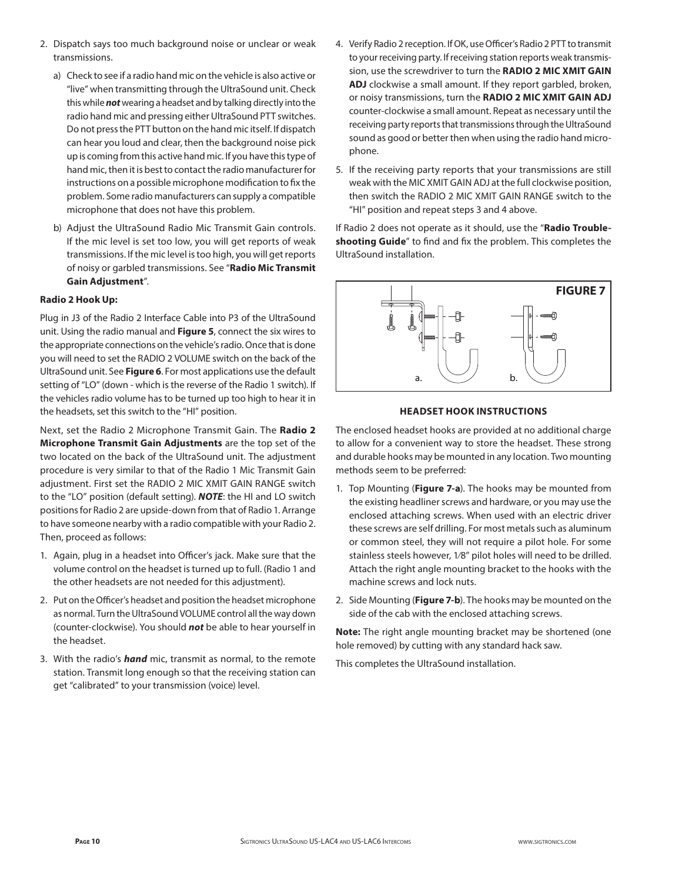- 2. Dispatch says too much background noise or unclear or weak transmissions.
	- a) Check to see if a radio hand mic on the vehicle is also active or "live" when transmitting through the UltraSound unit. Check this while *not* wearing a headset and by talking directly into the radio hand mic and pressing either UltraSound PTT switches. Do not press the PTT button on the hand mic itself. If dispatch can hear you loud and clear, then the background noise pick up is coming from this active hand mic. If you have this type of hand mic, then it is best to contact the radio manufacturer for instructions on a possible microphone modification to fix the problem. Some radio manufacturers can supply a compatible microphone that does not have this problem.
	- b) Adjust the UltraSound Radio Mic Transmit Gain controls. If the mic level is set too low, you will get reports of weak transmissions. If the mic level is too high, you will get reports of noisy or garbled transmissions. See "**Radio Mic Transmit Gain Adjustment**".

## **Radio 2 Hook Up:**

Plug in J3 of the Radio 2 Interface Cable into P3 of the UltraSound unit. Using the radio manual and **Figure 5**, connect the six wires to the appropriate connections on the vehicle's radio. Once that is done you will need to set the RADIO 2 VOLUME switch on the back of the UltraSound unit. See **Figure 6**. For most applications use the default setting of "LO" (down - which is the reverse of the Radio 1 switch). If the vehicles radio volume has to be turned up too high to hear it in the headsets, set this switch to the "HI" position.

Next, set the Radio 2 Microphone Transmit Gain. The **Radio 2 Microphone Transmit Gain Adjustments** are the top set of the two located on the back of the UltraSound unit. The adjustment procedure is very similar to that of the Radio 1 Mic Transmit Gain adjustment. First set the RADIO 2 MIC XMIT GAIN RANGE switch to the "LO" position (default setting). *NOTE*: the HI and LO switch positions for Radio 2 are upside-down from that of Radio 1. Arrange to have someone nearby with a radio compatible with your Radio 2. Then, proceed as follows:

- 1. Again, plug in a headset into Officer's jack. Make sure that the volume control on the headset is turned up to full. (Radio 1 and the other headsets are not needed for this adjustment).
- 2. Put on the Officer's headset and position the headset microphone as normal. Turn the UltraSound VOLUME control all the way down (counter-clockwise). You should *not* be able to hear yourself in the headset.
- 3. With the radio's *hand* mic, transmit as normal, to the remote station. Transmit long enough so that the receiving station can get "calibrated" to your transmission (voice) level.
- 4. Verify Radio 2 reception. If OK, use Officer's Radio 2 PTT to transmit to your receiving party. If receiving station reports weak transmission, use the screwdriver to turn the **RADIO 2 MIC XMIT GAIN ADJ** clockwise a small amount. If they report garbled, broken, or noisy transmissions, turn the **RADIO 2 MIC XMIT GAIN ADJ** counter-clockwise a small amount. Repeat as necessary until the receiving party reports that transmissions through the UltraSound sound as good or better then when using the radio hand microphone.
- 5. If the receiving party reports that your transmissions are still weak with the MIC XMIT GAIN ADJ at the full clockwise position, then switch the RADIO 2 MIC XMIT GAIN RANGE switch to the "HI" position and repeat steps 3 and 4 above.

If Radio 2 does not operate as it should, use the "**Radio Troubleshooting Guide**" to find and fix the problem. This completes the UltraSound installation.



#### **HEADSET HOOK INSTRUCTIONS**

The enclosed headset hooks are provided at no additional charge to allow for a convenient way to store the headset. These strong and durable hooks may be mounted in any location. Two mounting methods seem to be preferred:

- 1. Top Mounting (**Figure 7-a**). The hooks may be mounted from the existing headliner screws and hardware, or you may use the enclosed attaching screws. When used with an electric driver these screws are self drilling. For most metals such as aluminum or common steel, they will not require a pilot hole. For some stainless steels however, 1⁄8" pilot holes will need to be drilled. Attach the right angle mounting bracket to the hooks with the machine screws and lock nuts.
- 2. Side Mounting (**Figure 7-b**). The hooks may be mounted on the side of the cab with the enclosed attaching screws.

**Note:** The right angle mounting bracket may be shortened (one hole removed) by cutting with any standard hack saw.

This completes the UltraSound installation.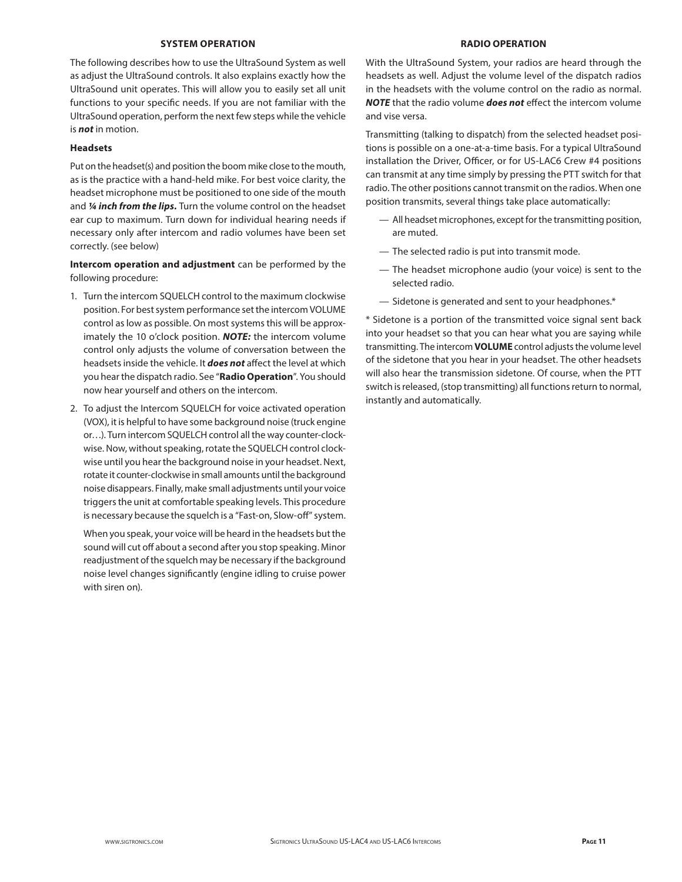#### **SYSTEM OPERATION**

The following describes how to use the UltraSound System as well as adjust the UltraSound controls. It also explains exactly how the UltraSound unit operates. This will allow you to easily set all unit functions to your specific needs. If you are not familiar with the UltraSound operation, perform the next few steps while the vehicle is *not* in motion.

## **Headsets**

Put on the headset(s) and position the boom mike close to the mouth, as is the practice with a hand-held mike. For best voice clarity, the headset microphone must be positioned to one side of the mouth and *¼ inch from the lips.* Turn the volume control on the headset ear cup to maximum. Turn down for individual hearing needs if necessary only after intercom and radio volumes have been set correctly. (see below)

**Intercom operation and adjustment** can be performed by the following procedure:

- 1. Turn the intercom SQUELCH control to the maximum clockwise position. For best system performance set the intercom VOLUME control as low as possible. On most systems this will be approximately the 10 o'clock position. *NOTE:* the intercom volume control only adjusts the volume of conversation between the headsets inside the vehicle. It *does not* affect the level at which you hear the dispatch radio. See "**Radio Operation**". You should now hear yourself and others on the intercom.
- 2. To adjust the Intercom SQUELCH for voice activated operation (VOX), it is helpful to have some background noise (truck engine or…). Turn intercom SQUELCH control all the way counter-clockwise. Now, without speaking, rotate the SQUELCH control clockwise until you hear the background noise in your headset. Next, rotate it counter-clockwise in small amounts until the background noise disappears. Finally, make small adjustments until your voice triggers the unit at comfortable speaking levels. This procedure is necessary because the squelch is a "Fast-on, Slow-off" system.

 When you speak, your voice will be heard in the headsets but the sound will cut off about a second after you stop speaking. Minor readjustment of the squelch may be necessary if the background noise level changes significantly (engine idling to cruise power with siren on).

#### **RADIO OPERATION**

With the UltraSound System, your radios are heard through the headsets as well. Adjust the volume level of the dispatch radios in the headsets with the volume control on the radio as normal. *NOTE* that the radio volume *does not* effect the intercom volume and vise versa.

Transmitting (talking to dispatch) from the selected headset positions is possible on a one-at-a-time basis. For a typical UltraSound installation the Driver, Officer, or for US-LAC6 Crew #4 positions can transmit at any time simply by pressing the PTT switch for that radio. The other positions cannot transmit on the radios. When one position transmits, several things take place automatically:

- All headset microphones, except for the transmitting position, are muted.
- The selected radio is put into transmit mode.
- The headset microphone audio (your voice) is sent to the selected radio.
- Sidetone is generated and sent to your headphones.\*

\* Sidetone is a portion of the transmitted voice signal sent back into your headset so that you can hear what you are saying while transmitting. The intercom **VOLUME** control adjusts the volume level of the sidetone that you hear in your headset. The other headsets will also hear the transmission sidetone. Of course, when the PTT switch is released, (stop transmitting) all functions return to normal, instantly and automatically.